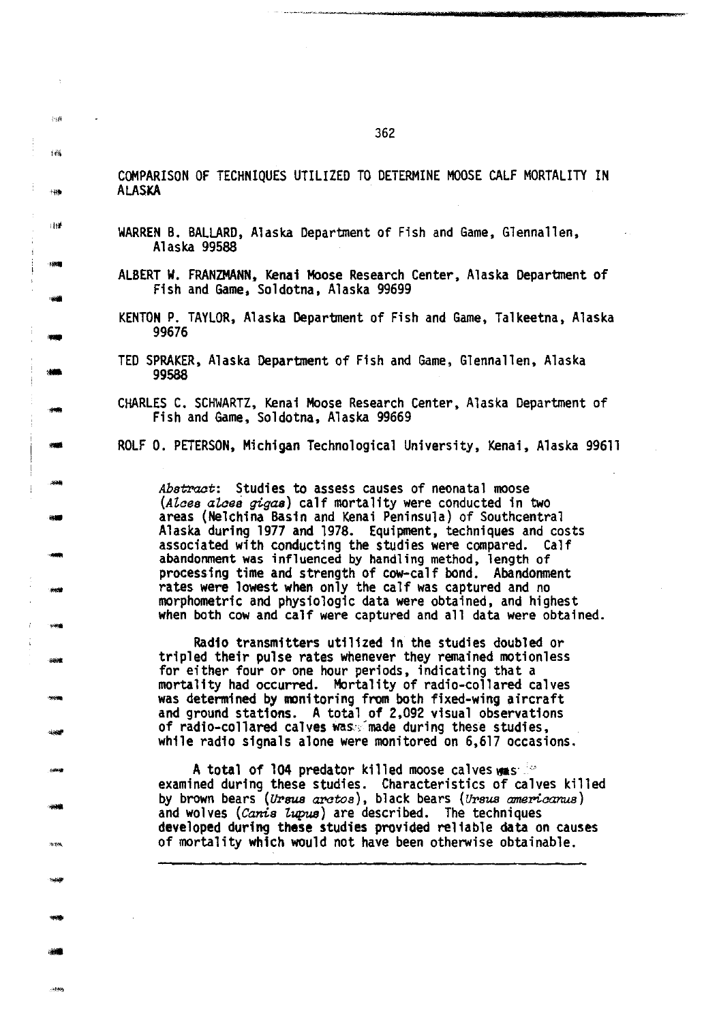COMPARISON OF TECHNIQUES UTILIZED TO DETERMINE MOOSE CALF MORTALITY IN ALASKA

- WARREN B. BALLARD, Alaska Department of Fish and Game, Glennallen, Alaska 99588
- ALBERT W. FRANZMANN. Kenai Hoose Research Center, Alaska Department of Fish and Game, Soldotna, Alaska 99699
- KENTON P. TAYLOR, Alaska Department of Fish and Game, Talkeetna, Alaska 99676
- TED SPRAKER, Alaska Department of Fish and Game, Glennallen, Alaska 99588
- CHARLES C. SCHWARTZ, Kenai Moose Research Center, Alaska Department of Fish and Game, Soldotna, Alaska 99669

ROLF 0. PETERSON, Michigan Technological University, Kenai, Alaska 99611

*Abstract:* Studies to assess causes of neonatal moose *(AZaes aZaes gigas)* calf mortality were conducted in two areas (Nelchina Basin and Kenai Peninsula) of Southcentral Alaska during 1977 and 1978. Equipment, techniques and costs associated with conducting the studies were compared. Calf abandonment was influenced by handling method, length of processing time and strength of cow-calf bond. Abandonment<br>rates were lowest when only the calf was captured and no morphometric and physiologic data were obtained, and highest when both cow and calf were captured and all data were obtained.

Radio transmitters utilized in the studies doubled or tripled their pulse rates whenever they remained motionless for either four or one hour periods, indicating that a mortality had occurred. Mortality of radio-collared calves was determined by monitoring from both fixed-wing aircraft and ground stations. A total of 2,092 visual observations of radio-collared calves was: made during these studies, while radio signals alone were monitored on 6,617 occasions.

A total of 104 predator killed moose calves  $\mathbf{w}$ s: " examined during these studies. Characteristics of calves killed by brown bears (Ursus arctos), black bears (Ursus americanus) and wolves *(Canis Zupus)* are described. The techniques developed during these studies provided reliable data on causes of mortality which would not have been otherwise obtainable.

 $\delta\,d\phi$ ...

 $\overline{1}$ 

il!ht

- -

- ...

- ..

...

-

- -

-

- -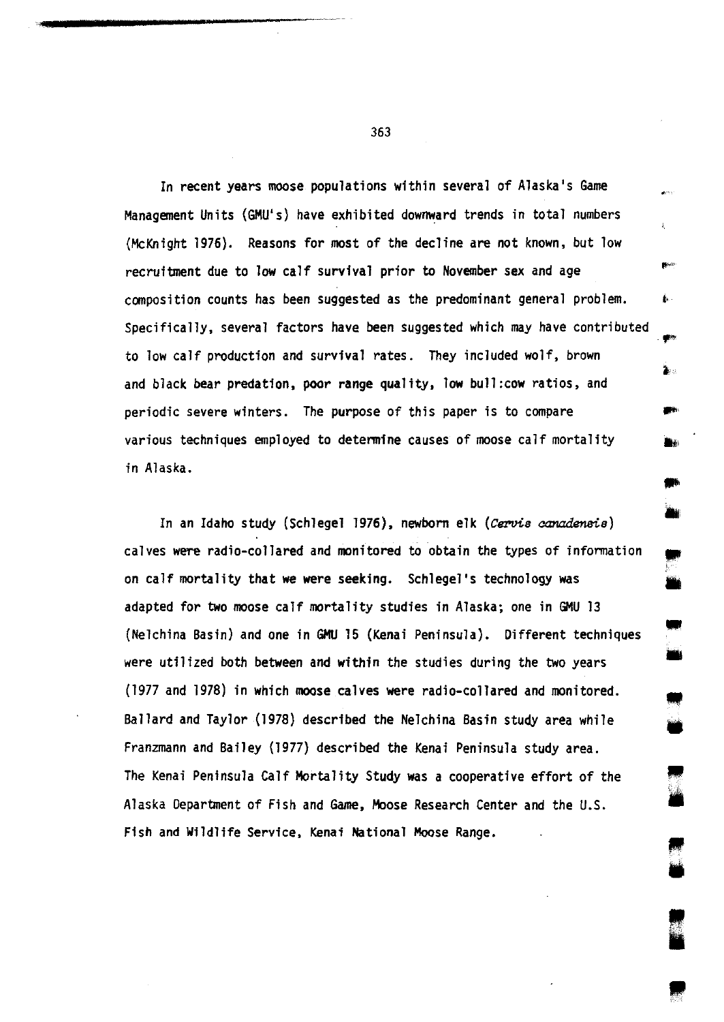In recent years moose populations within several of Alaska's Game Management Units (GMU's) have exhibited downward trends in total numbers (McKnight 1976). Reasons for most of the decline are not known, but low recruitment due to low calf survival prior to November sex and age composition counts has been suggested as the predominant general problem. Specifically, several factors have been suggested which may have contributed to low calf production and survival rates. They included wolf, brown and black bear predation, poor range quality, low bull:cow ratios, and periodic severe winters. The purpose of this paper is to compare various techniques employed to determine causes of moose calf mortality in Alaska.

,.

ż.

À.

• •

• •

,<br>,,

<u>।</u><br>भ

**• "** 

In an Idaho study (Schlegel 1976), newborn elk *(Cervis aanadensis)*  calves were radio-collared and monitored to obtain the types of infonnation on calf mortality that we were seeking. Schlegel's technology was adapted for two moose calf mortality studies in Alaska; one in GMU 13 (Nelchina Basin) and one in GMU 15 {Kenai Peninsula). Different techniques were utilized both between and within the studies during the two years (1977 and 1978) in which moose calves were radio-collared and monitored. Ballard and Taylor {1978) described the Nelchina Basin study area while Franzmann and Bailey (1977) described the Kenai Peninsula study area. The Kenai Peninsula Calf Mortality Study was a cooperative effort of the Alaska Department of Fish and Game, Moose Research Center and the U.S. Fish and Wildlife Service, Kenai National Moose Range.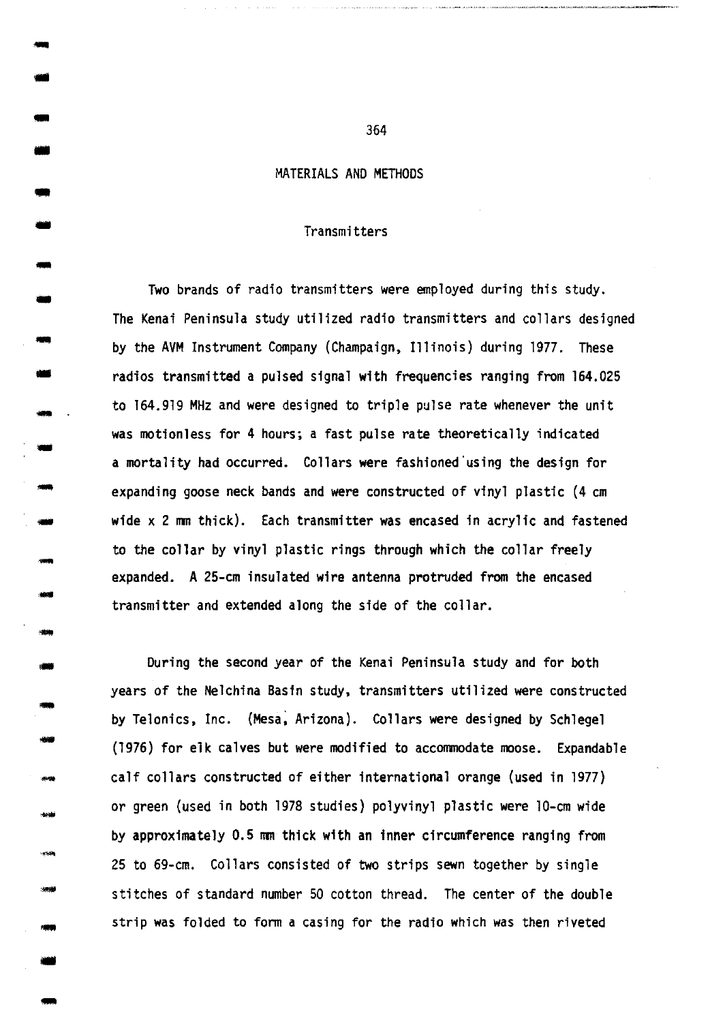# MATERIALS AND METHODS

-

-

•

- -<br>-<br>-

- --<br>--<br>--

-

-<br>-<br>--

- ---<br>---<br>---

-<br>-<br>--<br>-<br>-<br>-

- **- 이하하**<br>- 이하하<br>- 이미스

- -

- -

-1999<br>-<br>-<br>-

---<br>----<br>-----

-

#### Transmitters

Two brands of radio transmitters were employed during this study. The Kenai Peninsula study utilized radio transmitters and collars designed by the AVM Instrument Company (Champaign, Illinois) during 1977. These radios transmitted a pulsed signal with frequencies ranging from 164.025 to 164.919 MHz and were designed to triple pulse rate whenever the unit was motionless for 4 hours; a fast pulse rate theoretically indicated a mortality had occurred. Collars were fashioned·using the design for expanding goose neck bands and were constructed of vinyl plastic (4 em wide x 2 mm thick). Each transmitter was encased in acrylic and fastened to the collar by vinyl plastic rings through which the collar freely expanded. A 25-cm insulated wire antenna protruded from the encased transmitter and extended along the side of the collar.

During the second year of the Kenai Peninsula study and for both years of the Nelchina Basin study, transmitters utilized were constructed by Telonics, Inc. (Mesa; Arizona). Collars were designed by Schlegel (1976) for elk calves but were modified to accommodate moose. Expandable calf collars constructed of either international orange (used in 1977) or green (used in both 1978 studies) polyvinyl plastic were 10-cm wide by approximately 0.5 mm thick with an inner circumference ranging from 25 to 69-cm. Collars consisted of two strips sewn together by single stitches of standard number 50 cotton thread. The center of the double strip was folded to form a casing for the radio which was then riveted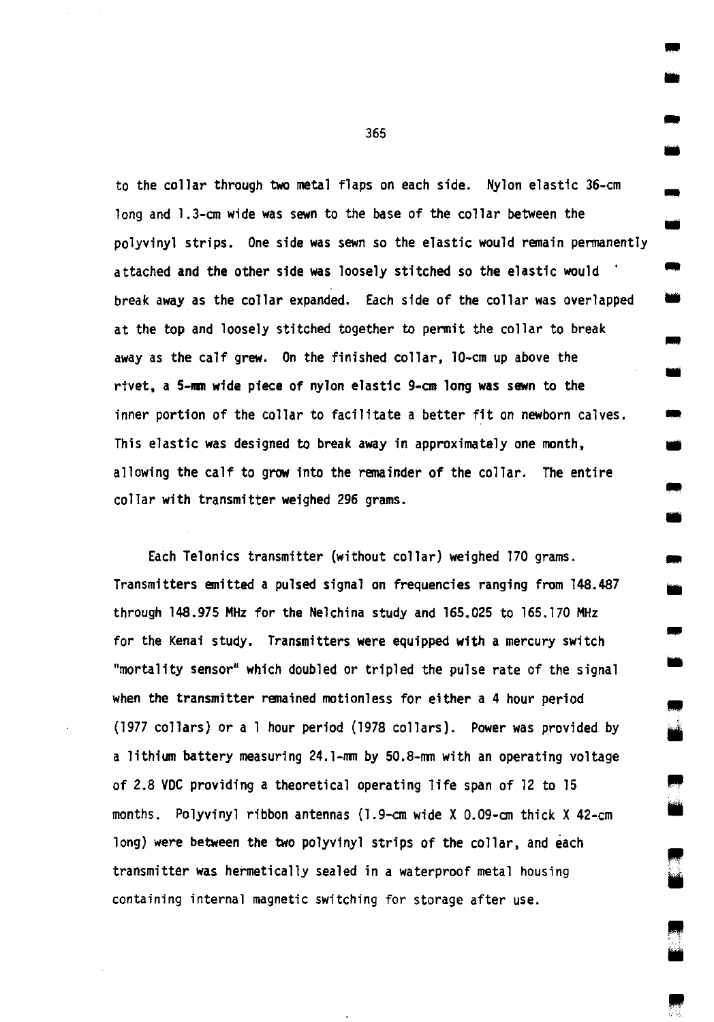to the collar through two metal flaps on each side. Nylon elastic 36-cm long and 1.3-cm wide was sewn to the base of the collar between the polyvinyl strips. One side was sewn so the elastic would remain permanently attached and the other side was loosely stitched so the elastic would · long and 1.3-cm wide was sewn to the base of the collar between the<br>polyvinyl strips. One side was sewn so the elastic would remain permanently<br>attached and the other side was loosely stitched so the elastic would<br>break aw at the top and loosely stitched together to permit the collar to break away as the calf grew. On the finished collar, 10-cm up above the rtvet, a 5-mm wide piece of nylon elastic 9-cm long was sewn to the inner portion of the collar to facilitate a better fit on newborn calves. • This elastic was designed to break away in approximately one month, allowing the calf to grow into the remainder of the collar. The entire collar with transmitter weighed 296 grams.

Each Telonics transmitter (without collar) weighed 170 grams. Transmitters emitted a pulsed signal on frequencies ranging from 148.487 through 148.975 MHz for the Nelchina study and 165.025 to 165.170 MHz for the Kenai study. Transmitters were equipped with a mercury switch "mortality sensor" which doubled or tripled the pulse rate of the signal when the transmitter remained motionless for either a 4 hour period (1977 collars) or a 1 hour period (1978 collars). Power was provided by a lithium battery measuring 24.1-mm by 50.8-mm with an operating voltage of 2.8 VDC providing a theoretical operating life span of 12 to 15 months. Polyvinyl ribbon antennas (1.9-cm wide X 0.09-cm thick X 42-cm long) were between the two polyvinyl strips of the collar, and each transmitter was hermetically sealed in a waterproof metal housing containing internal magnetic switching for storage after use.

365

• •

-

• ..

•

•

..

•

•

..

•

IIIII •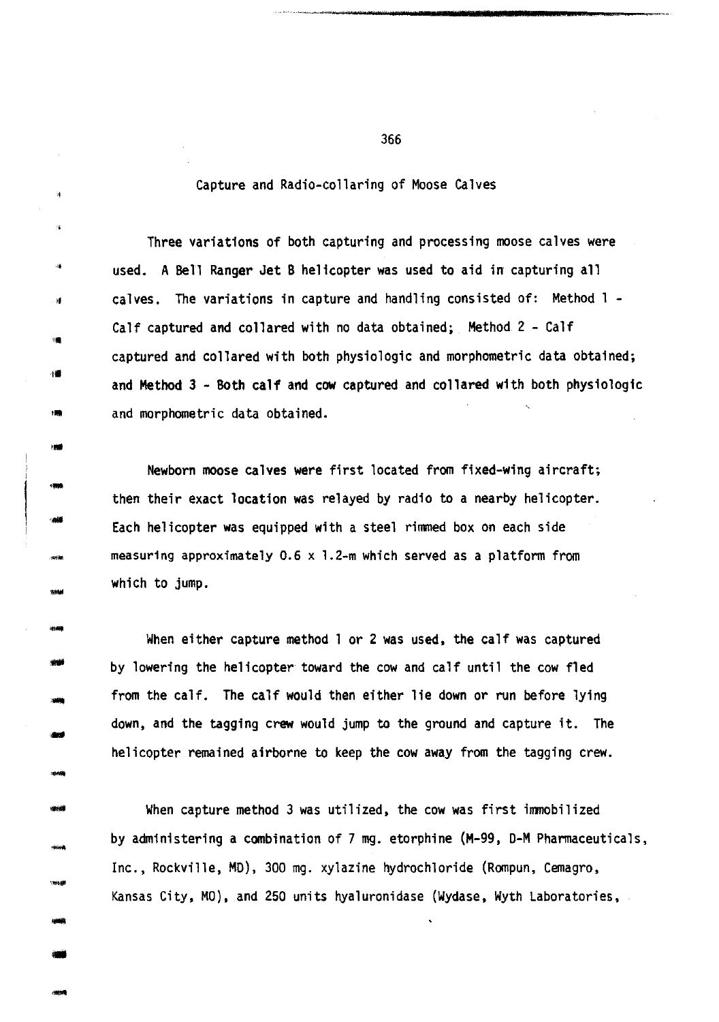## Capture and Radio-collaring of Moose Calves

""

á.

---<br>----<br>----..

---<br>---<br>----

- -

-

- -<br>-<br>-<br>-<br>-

-

--<br>--<br>---

-<br>-<br>-<br>-

Three variations of both capturing and processing moose calves were used. A Bell Ranger Jet B helicopter was used to aid in capturing all calves. The variations in capture and handling consisted of: Method 1 - Calf captured and collared with no data obtained; Method 2 - Calf captured and collared with both physiologic and morphometric data obtained; I. and Method 3 - Both calf and cow captured and collared with both physiologic and morphometric data obtained.

Newborn moose calves were first located from fixed-wing aircraft; then their exact location was relayed by radio to a nearby helicopter. Each helicopter was equipped with a steel rimmed box on each side measuring approximately 0.6 x 1.2-m which served as a platform from which to jump.

When either capture method 1 or 2 was used, the calf was captured by lowering the helicopter toward the cow and calf until the cow fled from the calf. The calf would then either lie down or run before lying down, and the tagging crew would jump to the ground and capture it. The helicopter remained airborne to keep the cow away from the tagging crew.

When capture method 3 was utilized, the cow was first immobilized by administering a combination of 7 mg. etorphine (M-99, O-M Pharmaceuticals, Inc., Rockville, MD), 300 mg. xylazine hydrochloride (Rompun, Cemagro, Kansas City, MO), and 250 units hyaluronidase (Wydase, Wyth Laboratories,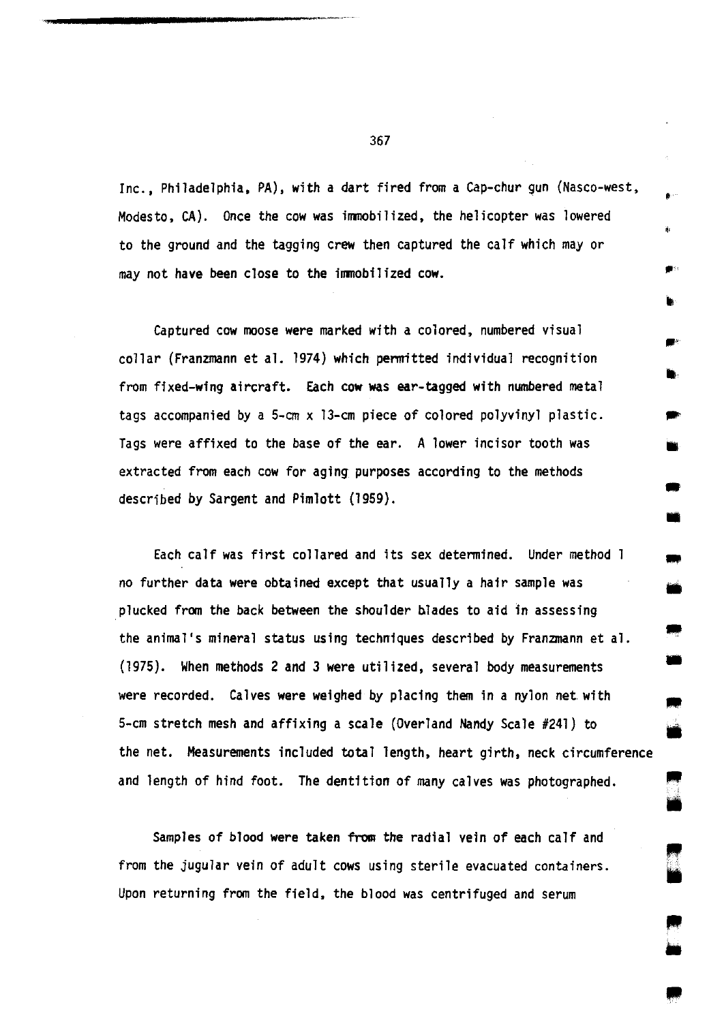Inc., Philadelphia, PA), with a dart fired from a Cap-chur gun (Nasco-west, Modesto, CA). Once the cow was immobilized, the helicopter was lowered to the ground and the tagging crew then captured the calf which may or may not have been close to the immobilized cow.

Captured cow moose were marked with a colored, numbered visual collar (Franzmann et al. 1974) which permitted individual recognition from fixed-wing aircraft. Each cow was ear-tagged with numbered metal tags accompanied by a  $5-cm \times 13-cm$  piece of colored polyvinyl plastic. Tags were affixed to the base of the ear. A lower incisor tooth was extracted from each cow for aging purposes according to the methods described by Sargent and Pimlott (1959).

..

• ..

• ..

•

• •

• •

•

Each calf was first collared and its sex determined. Under method no further data were obtained except that usually a hair sample was plucked from the back between the shoulder blades to aid in assessing the animal's mineral status using techniques described by Franzmann et al. (1975). When methods 2 and 3 were utilized, several body measurements were recorded. Calves were weighed by placing them in a nylon net with 5-cm stretch mesh and affixing a scale (Overland Nandy Scale #241) to the net. Measurements included total length, heart girth, neck circumference and length of hind foot. The dentition of many calves was photographed.

Samples of blood were taken from the radial vein of each calf and from the jugular vein of adult cows using sterile evacuated containers. Upon returning from the field, the blood was centrifuged and serum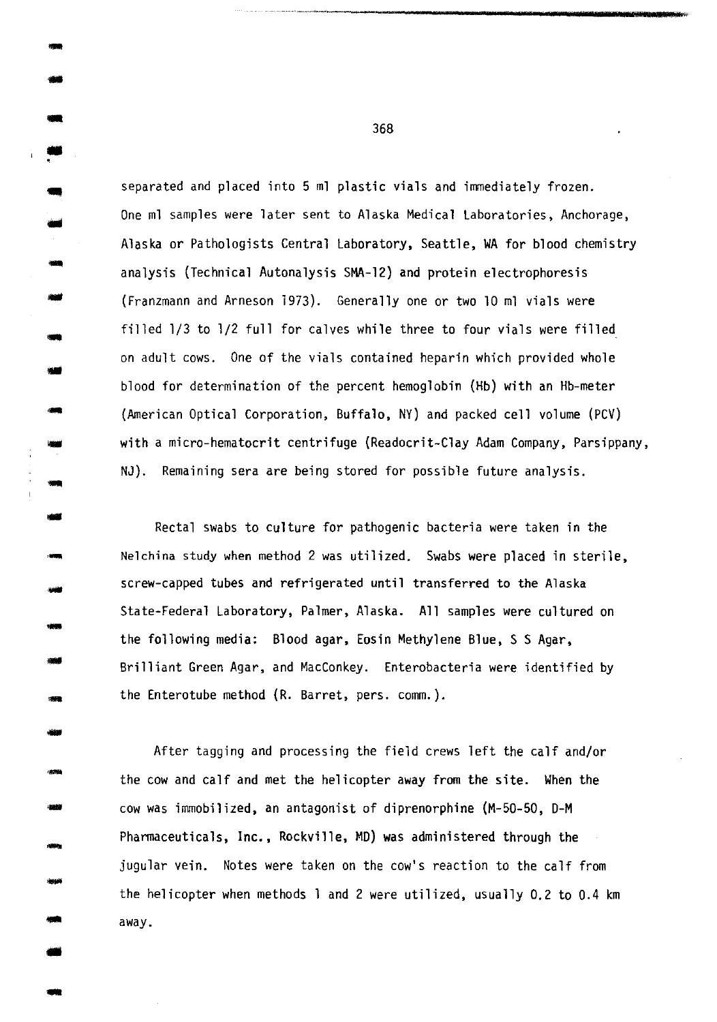separated and placed into 5 ml plastic vials and immediately frozen. One ml samples were later sent to Alaska Medical Laboratories, Anchorage, Alaska or Pathologists Central Laboratory, Seattle, WA for blood chemistry analysis (Technical Autonalysis SMA-12) and protein electrophoresis (Franzmann and Arneson 1973). Generally one or two 10 ml vials were filled 1/3 to 1/2 full for calves while three to four vials were filled on adult cows. One of the vials contained heparin which provided whole blood for determination of the percent hemoglobin (Hb) with an Hb-meter (American Optical Corporation, Buffalo, NY) and packed cell volume (PCV) with a micro-hematocrit centrifuge (Readocrit-Clay Adam Company, Parsippany, NJ). Remaining sera are being stored for possible future analysis.

Rectal swabs to culture for pathogenic bacteria were taken in the Nelchina study when method 2 was utilized. Swabs were placed in sterile, screw-capped tubes and refrigerated until transferred to the Alaska State-Federal Laboratory, Palmer, Alaska. All samples were cultured on the following media: Blood agar, Eosin Methylene Blue, S S Agar, Brilliant Green Agar, and MacConkey. Enterobacteria were identified by the Enterotube method (R. Barret, pers. comm.).

After tagging and processing the field crews left the calf and/or the cow and calf and met the helicopter away from the site. When the cow was immobilized, an antagonist of diprenorphine (M-50-50, D-M Pharmaceuticals, Inc., Rockville, MD) was administered through the jugular vein. Notes were taken on the cow's reaction to the calf from the helicopter when methods 1 and 2 were utilized, usually 0.2 to 0.4 km away.

368

- -

-<br>-<br>-

•

-<br>-<br>-

--<br>---<br>----

-

- -

- -

- -<br>- 900<br>- 900<br>- 900 -

- -

-

• -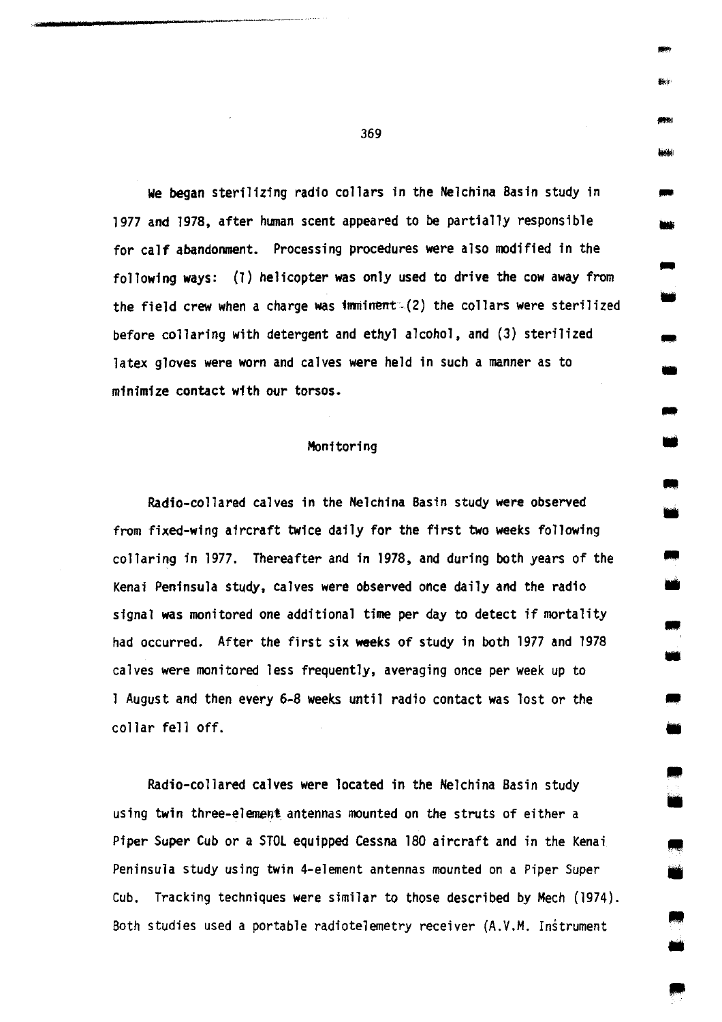we began sterilizing radio collars in the Nelchina Basin study in 1977 and 1978, after human scent appeared to be partially responsible for calf abandonment. Processing procedures were also modified in the following ways: (1) helicopter was only used to drive the cow away from the field crew when a charge was imminent- $(2)$  the collars were sterilized before collaring with detergent and ethyl alcohol, and (3) sterilized latex gloves were worn and calves were held in such a manner as to minimize contact with our torsos.

## Monitoring

Radio-collared calves in the Nelchina Basin study were observed from fixed-wing aircraft twice daily for the first two weeks following collaring in 1977. Thereafter and in 1978, and during both years of the Kenai Peninsula study, calves were observed once daily and the radio signal was monitored one additional time per day to detect if mortality had occurred. After the first six weeks of study in both 1977 and 1978 calves were monitored less frequently, averaging once per week up to 1 August and then every 6-8 weeks until radio contact was lost or the collar fell off.

Radio-collared calves were located in the Nelchina Basin study using twin three-element antennas mounted on the struts of either a Piper Super Cub or a STOL equipped Cessna 180 aircraft and in the Kenai Peninsula study using twin 4-element antennas mounted on a Piper Super Cub. Tracking techniques were similar to those described by Mech (1974). Both studies used a portable radiotelemetry receiver (A.V.M. Instrument

369

-

-<br>-<br>-<br>-<br>-<br>-<br>-

-

• -<br>-<br>-

• ..

• ..

•

..

• ..

• ..

•

•  $\overline{\phantom{a}}$ 

11111 •

1111 •

IIIII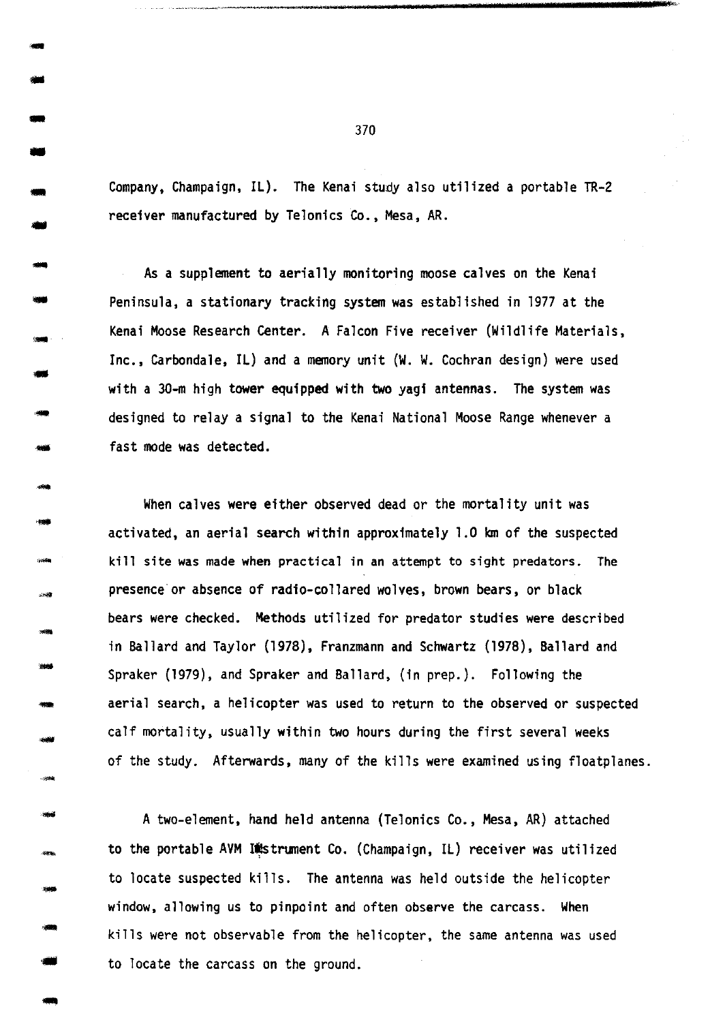Company, Champaign, IL). The Kenai study also utilized a portable TR-2 receiver manufactured by Telonics Co., Mesa, AR.

As a supplement to aerially monitoring moose calves on the Kenai Peninsula, a stationary tracking system was established in 1977 at the Kenai Moose Research Center. A Falcon Five receiver (Wildlife Materials, Inc., Carbondale, IL) and a memory unit (W. W. Cochran design) were used with a 30-m high tower equipped with two yagi antennas. The system was designed to relay a signal to the Kenai National Moose Range whenever a fast mode was detected.

When calves were either observed dead or the mortality unit was activated, an aerial search within approximately 1.0 km of the suspected kill site was made when practical in an attempt to sight predators. The presence·or absence of radio-collared wolves, brown bears, or black bears were checked. Methods utilized for predator studies were described in Ballard and Taylor (1978), Franzmann and Schwartz (1978), Ballard and Spraker (1979), and Spraker and Ballard, (in prep.). Following the aerial search, a helicopter was used to return to the observed or suspected calf mortality, usually within two hours during the first several weeks of the study. Afterwards, many of the kills were examined using floatplanes.

A two-element, hand held antenna (Telonics Co., Mesa, AR) attached to the portable AVM Instrument Co. (Champaign, IL) receiver was utilized to locate suspected kills. The antenna was held outside the helicopter window, allowing us to pinpoint and often observe the carcass. When kills were not observable from the helicopter, the same antenna was used to locate the carcass on the ground.

370

-<br>-<br>--<br>-<br>-<br>-

-<br>-<br>-

• -<br>-<br>----<br>---<br>---

- -

-<br>-<br>--

- -

---<br>---<br>---

.....

- -

- -

-

---<br>\*\*

·-

-<br>-<br>-<br>-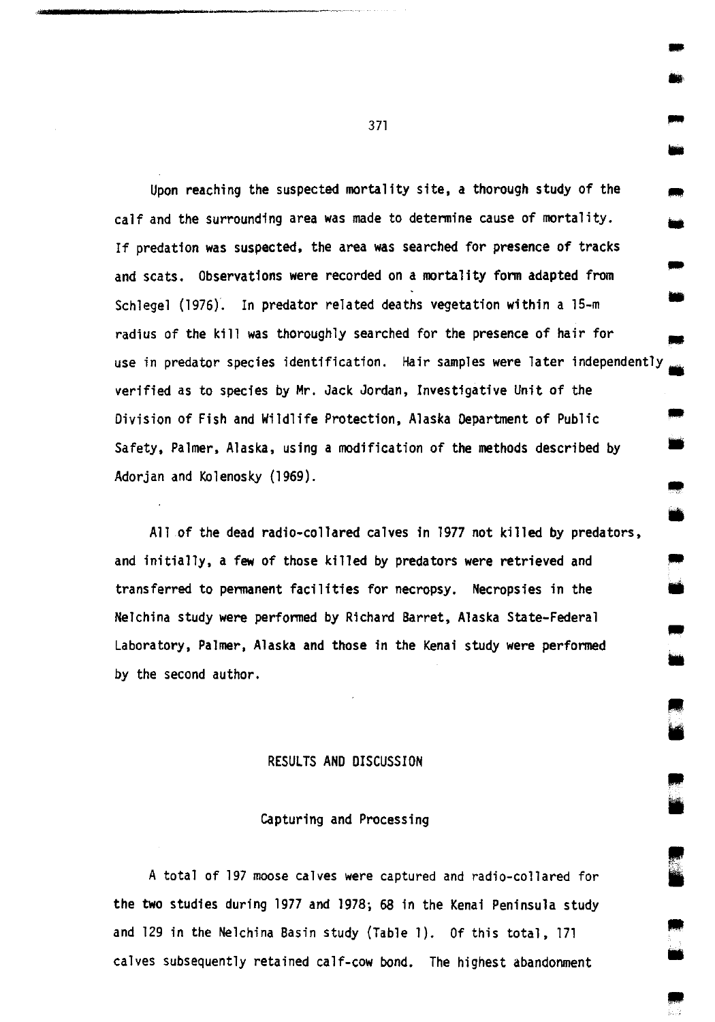Upon reaching the suspected mortality site, a thorough study of the calf and the surrounding area was made to determine cause of mortality. If predation was suspected, the area was searched for presence of tracks and scats. Observations were recorded on a mortality form adapted from Schlegel (1976). In predator related deaths vegetation within a 15-m radius of the kill was thoroughly searched for the presence of hair for - -<br>-<br>-• use in predator species identification. Hair samples were later independently -<br>-<br>-11 verified as to species by Mr. Jack Jordan, Investigative Unit of the Division of Fish and Wildlife Protection, Alaska Department of Public Safety, Palmer, Alaska, using a modification of the methods described by Adorjan and Kolenosky (1969). -<br>-<br>-•

All of the dead radio-collared calves in 1977 not killed by predators, and initially, a few of those killed by predators were retrieved and transferred to permanent facilities for necropsy. Necropsies in the Nelchina study were performed by Richard Barret, Alaska State-Federal Laboratory, Palmer, Alaska and those in the Kenai study were performed by the second author.

#### RESULTS AND DISCUSSION

# Capturing and Processing

A total of 197 moose calves were captured and radio-collared for the two studies during 1977 and 1978; 68 in the Kenai Peninsula study and 129 in the Nelchina Basin study (Table 1). Of this total, 171 calves subsequently retained calf-cow bond. The highest abandonment

371

-<br>-<br>-

•

• •

• •

•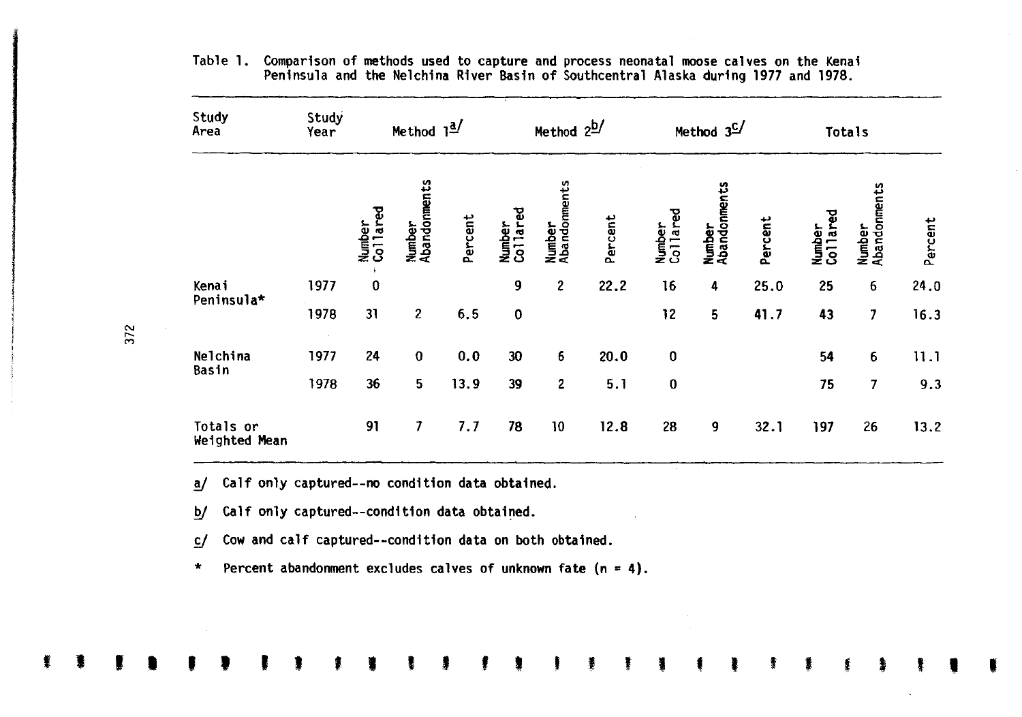| Study<br>Area              | Study<br>Year | Method $1^{\underline{a}}$ |                        | Method 2b/ |                           | Method 3 <sup>C/</sup> |         | Totals             |                        |         |                    |                        |         |
|----------------------------|---------------|----------------------------|------------------------|------------|---------------------------|------------------------|---------|--------------------|------------------------|---------|--------------------|------------------------|---------|
|                            |               | Number<br>Collared         | Number<br>Abandonments | Percent    | Collared<br><b>Number</b> | Number<br>Abandonments | Percent | Number<br>Collared | Number<br>Abandonments | Percent | Number<br>Collared | Number<br>Abandonments | Percent |
| Kenai                      | 1977          | $\bf{0}$                   |                        |            | 9                         | 2                      | 22.2    | 16                 | 4                      | 25.0    | 25                 | 6                      | 24.0    |
| Peninsula*                 | 1978          | 31                         | $\overline{2}$         | 6.5        | $\bf{0}$                  |                        |         | 12                 | 5                      | 41.7    | 43                 | 7                      | 16.3    |
| Nelchina<br>Basin          | 1977          | 24                         | $\bf{0}$               | 0.0        | 30                        | 6                      | 20.0    | $\bf{0}$           |                        |         | 54                 | 6                      | 11.1    |
|                            | 1978          | 36                         | 5                      | 13.9       | 39                        | 2                      | 5.1     | $\bf{0}$           |                        |         | 75                 | $\overline{7}$         | 9.3     |
| Totals or<br>Weighted Mean |               | 91                         | 7                      | 7.7        | 78                        | 10                     | 12.8    | 28                 | 9                      | 32.1    | 197                | 26                     | 13.2    |

I I I I ' ' I ' , • I ' ' ' I I ' • ' I • • • I I I

Table 1. Comparison of methods used to capture and process neonatal moose calves on the Kenai Peninsula and the Nelchina River Basin of Southcentral Alaska during 1977 and 1978.

a/ Calf only captured--no condition data obtained.

b/ Calf only captured--condition data obtained.

c/ Cow and calf captured--condition data on both obtained.

\* Percent abandonment excludes calves of unknown fate (n = 4).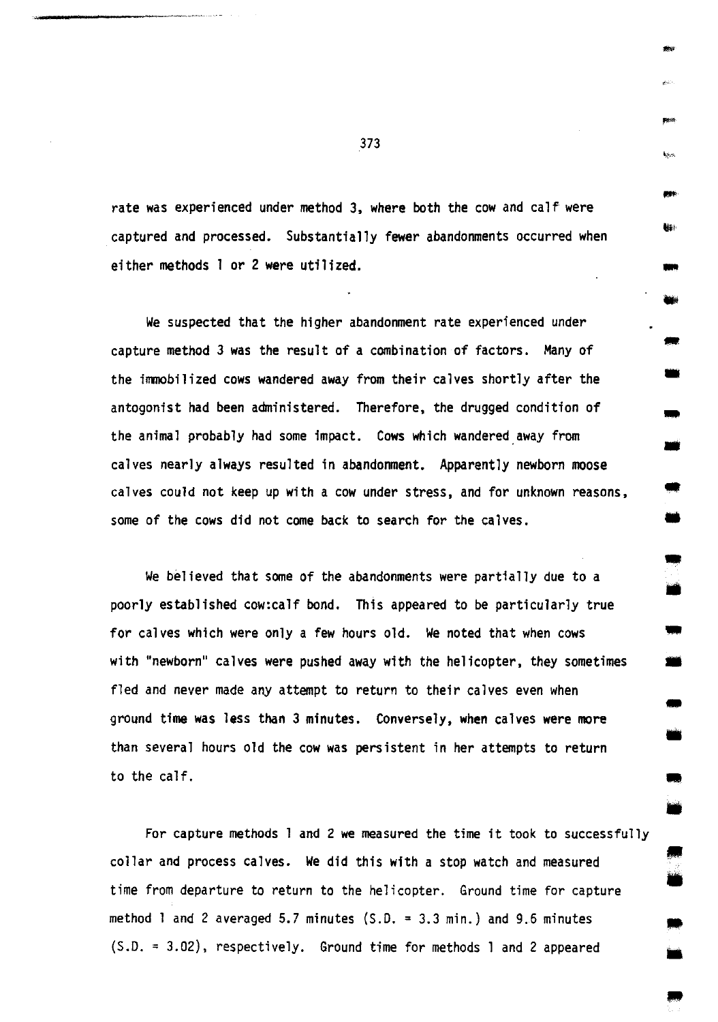rate was experienced under method 3, where both the cow and calf were captured and processed. Substantially fewer abandonments occurred when either methods 1 or 2 were utilized.

..

-

• -<br>-<br>-

•

• •

-

•

•

• •

• ..

We suspected that the higher abandonment rate experienced under capture method 3 was the result of a combination of factors. Many of the immobilized cows wandered away from their calves shortly after the antagonist had been administered. Therefore, the drugged condition of the animal probably had some impact. Cows which wandered.away from calves nearly always resulted in abandonment. Apparently newborn moose calves could not keep up with a cow under stress, and for unknown reasons, some of the cows did not come back to search for the calves.

We believed that some of the abandonments were partially due to a poorly established cow:calf bond. This appeared to be particularly true for calves which were only a few hours old. We noted that when cows We believed that some of the abandonments were partially due to a<br>poorly established cow:calf bond. This appeared to be particularly true<br>for calves which were only a few hours old. We noted that when cows<br>with "newborn" c fled and never made any attempt to return to their calves even when with "newborn" calves were pushed away with the helicopter, they sometimes<br>fled and never made any attempt to return to their calves even when<br>ground time was less than 3 minutes. Conversely, when calves were more<br>than sev to the calf.

For capture methods 1 and 2 we measured the time it took to successfully collar and process calves. We did this with a stop watch and measured time from departure to return to the helicopter. Ground time for capture method 1 and 2 averaged 5.7 minutes  $(S.D. = 3.3$  min.) and 9.6 minutes {S.D. = 3.02), respectively. Ground time for methods 1 and 2 appeared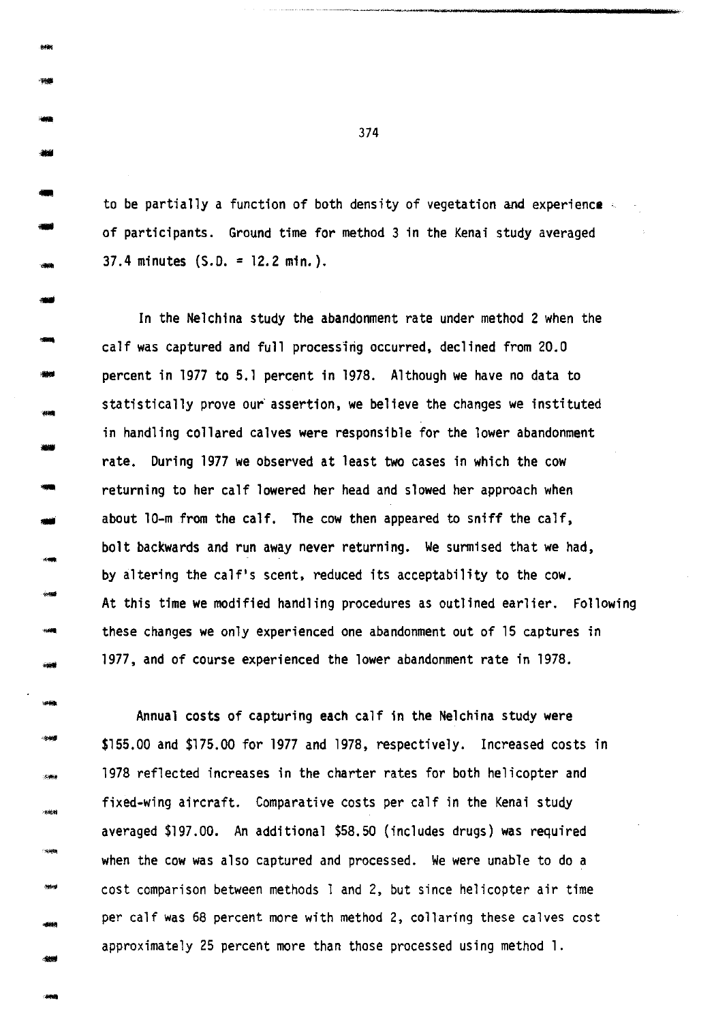to be partially a function of both density of vegetation and experience of participants. Ground time for method 3 in the Kenai study averaged 37.4 minutes (S.D. = 12.2 min.).

In the Nelchina study the abandonment rate under method 2 when the calf was captured and full processing occurred, declined from 20.0 percent in 1977 to 5.1 percent in 1978. Although we have no data to statistically prove our assertion, we believe the changes we instituted in handling collared calves were responsible for the lower abandonment rate. During 1977 we observed at least two cases in which the cow returning to her calf lowered her head and slowed her approach when about 10-m from the calf. The cow then appeared to sniff the calf, bolt backwards and run away never returning. We surmised that we had, by altering the calf's scent, reduced its acceptability to the cow. At this time we modified handling procedures as outlined earlier. Following these changes we only experienced one abandonment out of 15 captures in 1977, and of course experienced the lower abandonment rate in 1978.

Annual costs of capturing each calf in the Nelchina study were \$155,00 and \$175.00 for 1977 and 1978, respectively. Increased costs in 1978 reflected increases in the charter rates for both helicopter and fixed-wing aircraft. Comparative costs per calf in the Kenai study averaged \$197.00. An additional \$58.50 (includes drugs) was required when the cow was also captured and processed. We were unable to do a cost comparison between methods 1 and 2, but since helicopter air time per calf was 68 percent more with method 2, collaring these calves cost approximately 25 percent more than those processed using method 1.

374

\*\* ....

-

--<br>---<br>----988<br>-<br>- 988

- -

- -

- -

- -

-

- -

- ---<br>\*\*

 $-8999$ 

-

- -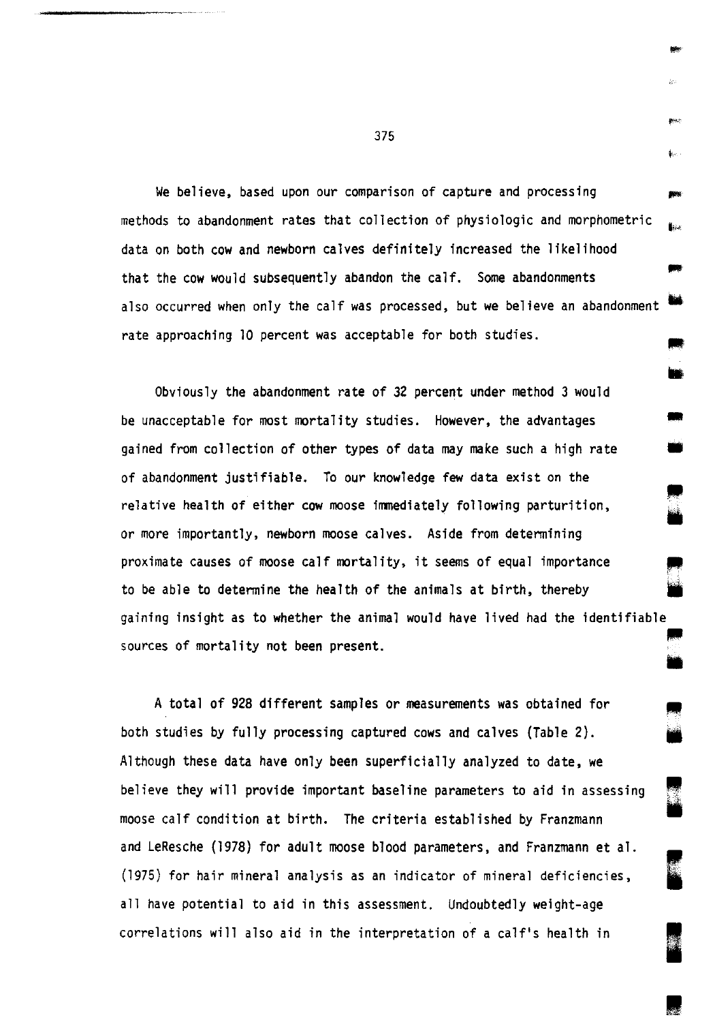We believe, based upon our comparison of capture and processing methods to abandonment rates that collection of physiologic and morphometric data on both cow and newborn calves definitely increased the likelihood that the cow would subsequently abandon the calf. Some abandonments also occurred when only the calf was processed, but we believe an abandonment rate approaching 10 percent was acceptable for both studies.

• • ..

k.

•

• i

I

I

Obviously the abandonment rate of 32 percent under method 3 would be unacceptable for most mortality studies. However, the advantages gained from collection of other types of data may make such a high rate of abandonment justifiable. To our knowledge few data exist on the relative health of either cow moose immediately following parturition, or more importantly, newborn moose calves. Aside from determining proximate causes of moose calf mortality, it seems of equal importance to be able to determine the health of the animals at birth, thereby gaining insight as to whether the animal would have lived had the identifiable<br>sources of mortality not been present.

A total of 928 different samples or measurements was obtained for both studies by fully processing captured cows and calves (Table 2). Although these data have only been superficially analyzed to date, we believe they will provide important baseline parameters to aid in assessing moose calf condition at birth. The criteria established by Franzmann and LeResche (1978) for adult moose blood parameters, and Franzmann et al. (1975) for hair mineral analysis as an indicator of mineral deficiencies, all have potential to aid in this assessment. Undoubtedly weight-age correlations will also aid in the interpretation of a calf's health in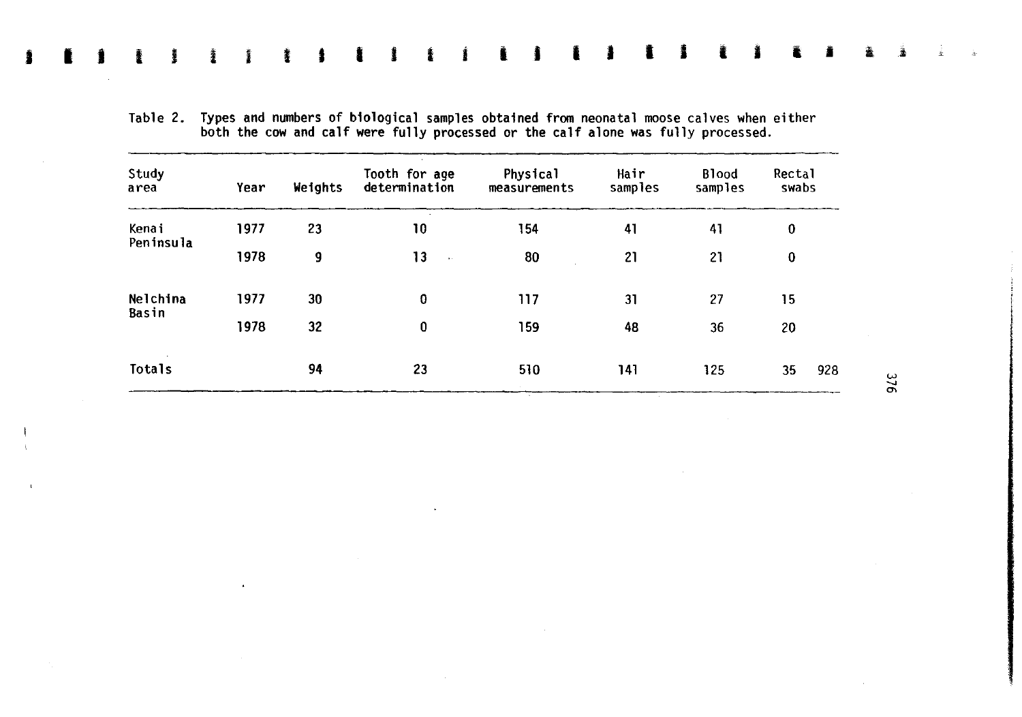| Study<br>area | Year | Weights | Tooth for age<br>determination | Physical<br>measurements | Hair<br>samples | <b>Blood</b><br>samples | Rectal<br>swabs |
|---------------|------|---------|--------------------------------|--------------------------|-----------------|-------------------------|-----------------|
| Kenai         | 1977 | 23      | 10                             | 154                      | 41              | 41                      | 0               |
| Peninsula     | 1978 | 9       | 13<br>$\sim$                   | 80                       | 21              | 21                      | 0               |
| Nelchina      | 1977 | 30      | 0                              | 117                      | 31              | 27                      | 15              |
| Basin         | 1978 | 32      | 0                              | 159                      | 48              | 36                      | 20              |
| Totals        |      | 94      | 23                             | 510                      | 141             | 125                     | 928<br>35       |

Table 2. Types and numbers of biological samples obtained from neonatal moose calves when either both the cow and calf were fully processed or the calf alone was fully processed.

I I J I I l I I I I I i i I I I I I I l I I I l <sup>a</sup>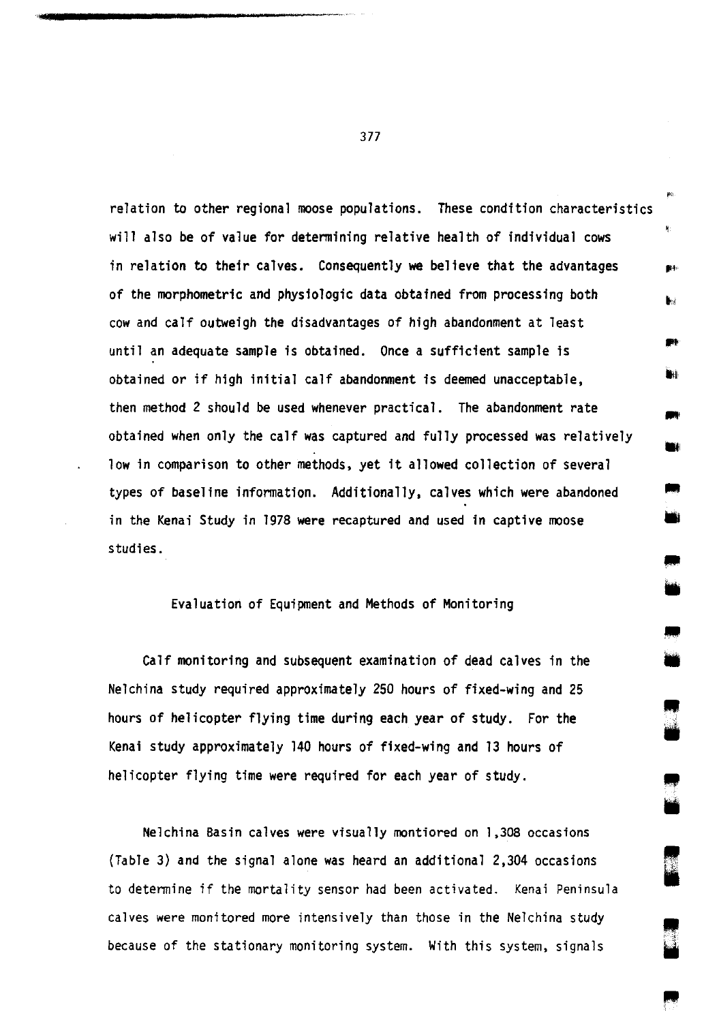relation to other regional moose populations. These condition characteristics will also be of value for determining relative health of individual cows in relation to their calves. Consequently we believe that the advantages of the morphometric and physiologic data obtained from processing both cow and calf outweigh the disadvantages of high abandonment at least until an adequate sample is obtained. Once a sufficient sample is obtained or if high initial calf abandonment is deemed unacceptable, then method 2 should be used whenever practical. The abandonment rate obtained when only the calf was captured and fully processed was relatively low in comparison to other methods, yet it allowed collection of several types of baseline information. Additionally, calves which were abandoned in the Kenai Study in 1978 were recaptured and used in captive moose studies.

# Evaluation of Equipment and Methods of Monitoring

• •

ma.

• •

Calf monitoring and subsequent examination of dead calves in the Nelchina study required approximately 250 hours of fixed-wing and 25 hours of helicopter flying time during each year of study. For the Kenai study approximately 140 hours of fixed-wing and 13 hours of helicopter flying time were required for each year of study.

Nelchina Basin calves were visually montiored on 1,308 occasions (Table 3) and the signal alone was heard an additional 2,304 occasions to determine if the mortality sensor had been activated. Kenai Peninsula calves were monitored more intensively than those in the Nelchina study because of the stationary monitoring system. With this system, signals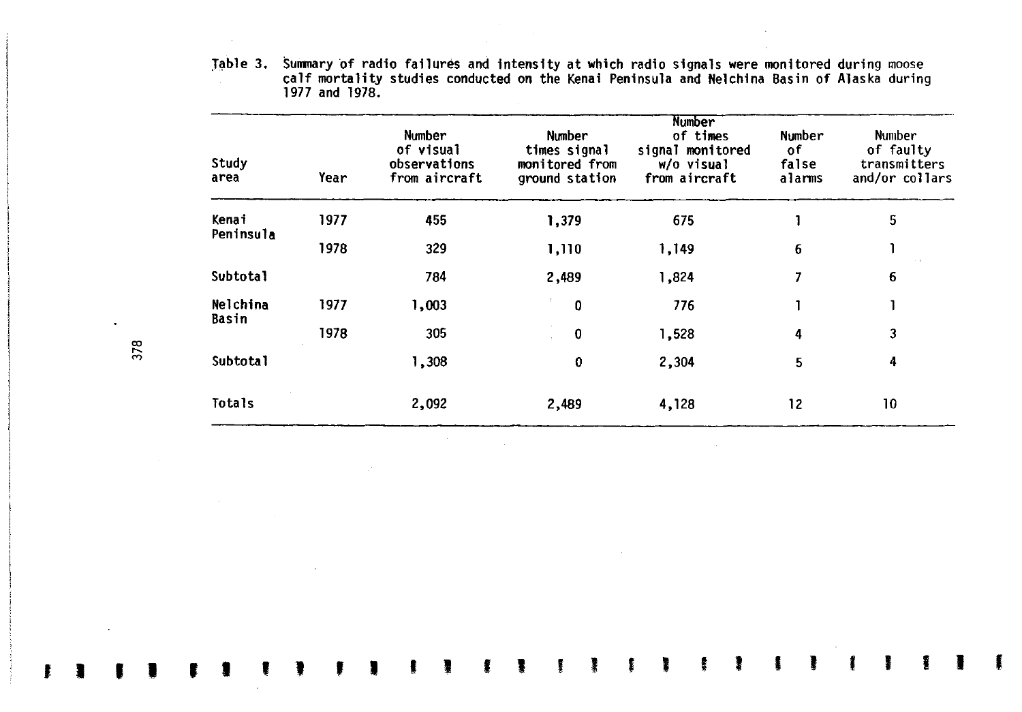Table 3. Summary of radio failures and intensity at which radio signals were monitored during moose calf mortality studies conducted on the Kenai Peninsula and Nelchina Basin of Alaska during 1977 and 1978.

| Study<br>area     | Year | <b>Number</b><br>of visual<br>observations<br>from aircraft | Number<br>times signal<br>monitored from<br>ground station | Number<br>of times<br>signal monitored<br>w/o visual<br>from aircraft | Number<br>οf<br>false<br>alarms | Number<br>of faulty<br>transmitters<br>and/or collars<br>5 |  |
|-------------------|------|-------------------------------------------------------------|------------------------------------------------------------|-----------------------------------------------------------------------|---------------------------------|------------------------------------------------------------|--|
| Kenai             | 1977 | 455                                                         | 1,379                                                      | 675                                                                   |                                 |                                                            |  |
| Peninsula         | 1978 | 329                                                         | 1,110                                                      | 1,149                                                                 | 6                               |                                                            |  |
| Subtotal          |      | 784                                                         | 2,489                                                      | 1,824                                                                 | 7                               | 6                                                          |  |
| Nelchina<br>Basin | 1977 | 1,003                                                       | 0                                                          | 776                                                                   |                                 |                                                            |  |
|                   | 1978 | 305                                                         | $\bf{0}$                                                   | 1,528                                                                 | 4                               | 3                                                          |  |
| <b>Subtotal</b>   |      | 1,308                                                       | 0                                                          | 2,304                                                                 | 5                               | 4                                                          |  |
| Totals            |      | 2,092                                                       | 2,489                                                      | 4,128                                                                 | 12                              | 10                                                         |  |

J I I I r 1 ' ' f I I I I I ' • ' ' ' I I I ' I I I I

 $\ddot{\phantom{a}}$ 

 $\sim$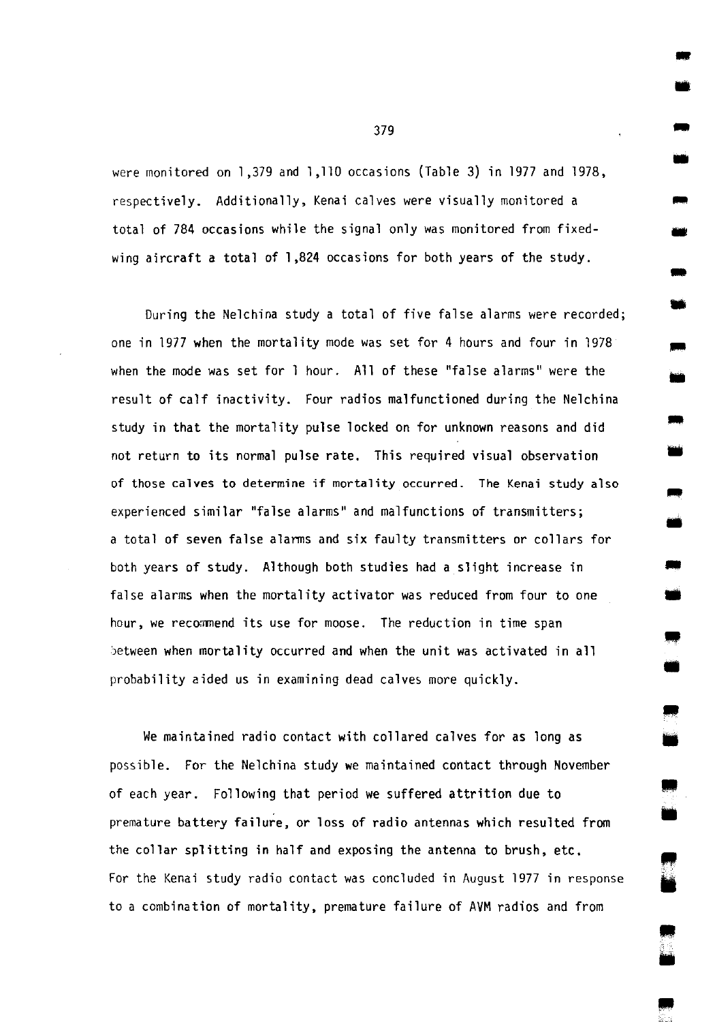were monitored on 1,379 and 1,110 occasions (Table 3) in 1977 and 1978, respectively. Additionally, Kenai calves were visually monitored a total of 784 occasions while the signal only was monitored from fixedwing aircraft a total of 1,824 occasions for both years of the study.

During the Nelchina study a total of five false alarms were recorded; one in 1977 when the mortality mode was set for 4 hours and four in 1978 when the mode was set for 1 hour. All of these "false alarms" were the result of calf inactivity. Four radios malfunctioned during the Nelchina study in that the mortality pulse locked on for unknown reasons and did not return to its normal pulse rate. This required visual observation of those calves to determine if mortality occurred. The Kenai study also experienced similar "false alarms" and malfunctions of transmitters; a total of seven false alarms and six faulty transmitters or collars for both years of study. Although both studies had a slight increase in false alarms when the mortality activator was reduced from four to one hour, we recommend its use for moose. The reduction in time span ·Jetween when mortality occurred and when the unit was activated in all probability aided us in examining dead calves more quickly.

We maintained radio contact with collared calves for as long as possible. For the Nelchina study we maintained contact through November of each year. Following that period we suffered attrition due to premature battery failure, or loss of radio antennas which resulted from the collar splitting in half and exposing the antenna to brush, etc. For the Kenai study radio contact was concluded in August 1977 in response to a combination of mortality, premature failure of AVM radios and from

379

• • - -<br>-<br>-

-

-<br>-<br>-

•

•

-

•

-

•

IIIIJI •

• •

.. ill

• ill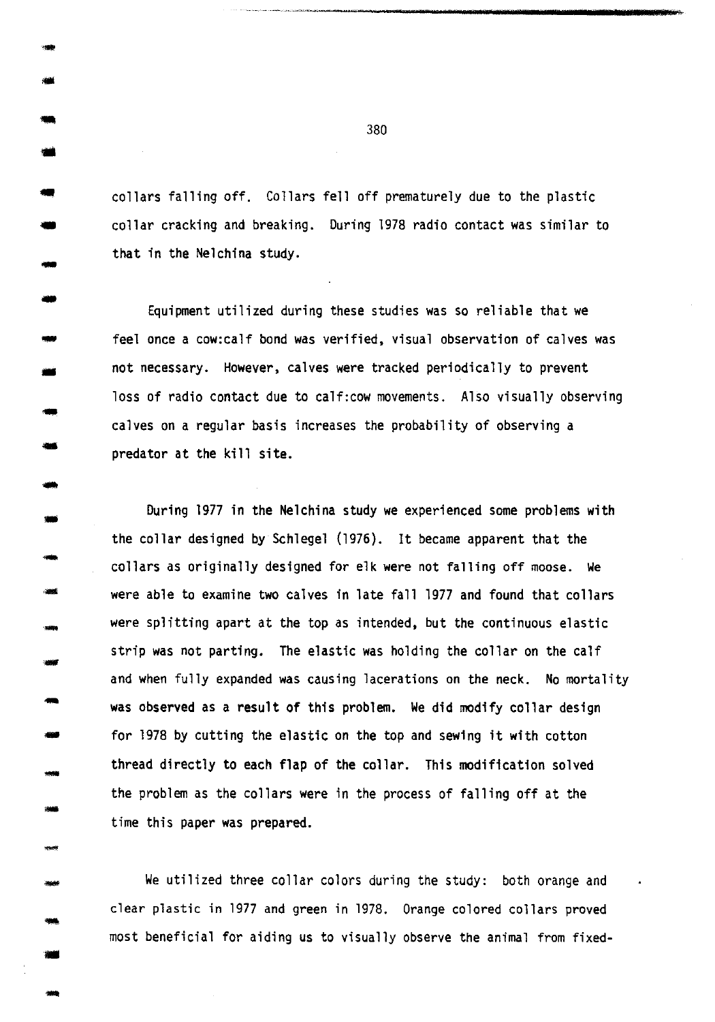- collars falling off. Collars fell off prematurely due to the plastic 41 collar cracking and breaking. During 1978 radio contact was similar to that in the Nelchina study.

•

-<br>-<br>-

-

- -

- .....

- -

- -<br>-<br>-

- -

----<br>-**----**

-

-

Equipment utilized during these studies was so reliable that we feel once a cow:calf bond was verified, visual observation of calves was not necessary. However, calves were tracked periodically to prevent loss of radio contact due to calf:cow movements. Also visually observing calves on a regular basis increases the probability of observing a predator at the kill site.

During 1977 in the Nelchina study we experienced some problems with the collar designed by Schlegel (1976}. It became apparent that the collars as originally designed for elk were not falling off moose. We were able to examine two calves in late fall 1977 and found that collars were splitting apart at the top as intended, but the continuous elastic strip was not parting. The elastic was holding the collar on the calf and when fully expanded was causing lacerations on the neck. No mortality was observed as a result of this problem. We did modify collar design for 1978 by cutting the elastic on the top and sewing it with cotton thread directly to each flap of the collar. This modification solved the problem as the collars were in the process of falling off at the time this paper was prepared.

We utilized three collar colors during the study: both orange and clear plastic in 1977 and green in 1978. Orange colored collars proved most beneficial for aiding us to visually observe the animal from fixed-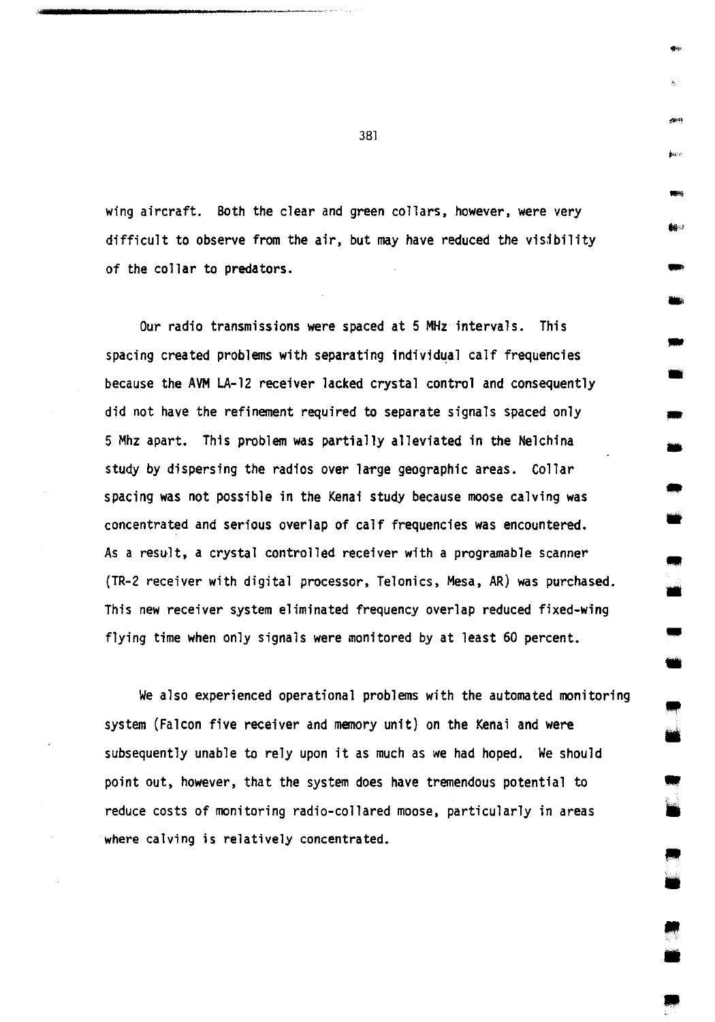wing aircraft. Both the clear and green collars, however, were very difficult to observe from the air, but may have reduced the visjbility of the collar to predators.

Our radio transmissions were spaced at 5 MHz intervals. This spacing created problems with separating individual calf frequencies because the AVM LA-12 receiver lacked crystal control and consequently did not have the refinement required to separate signals spaced only 5 Mhz apart. This problem was partially alleviated in the Nelchina study by dispersing the radios over large geographic areas. Collar spacing was not possible in the Kenai study because moose calving was concentrated and serious overlap of calf frequencies was encountered. As a result, a crystal controlled receiver with a programable scanner {TR-2 receiver with digital processor, Telonics, Mesa, AR) was purchased. This new receiver system eliminated frequency overlap reduced fixed-wing flying time when only signals were monitored by at least 60 percent.

We also experienced operational problems with the automated monitoring system (Falcon five receiver and memory unit) on the Kenai and were subsequently unable to rely upon it as much as we had hoped. We should point out, however, that the system does have tremendous potential to reduce costs of monitoring radio-collared moose, particularly in areas where calving is relatively concentrated.

381

.... .,,

jesti<br>Militar<br>**Cit**ar

- -

-

• -

• -<br>-<br>-

•

• **iii** 

• •

• •

• •

•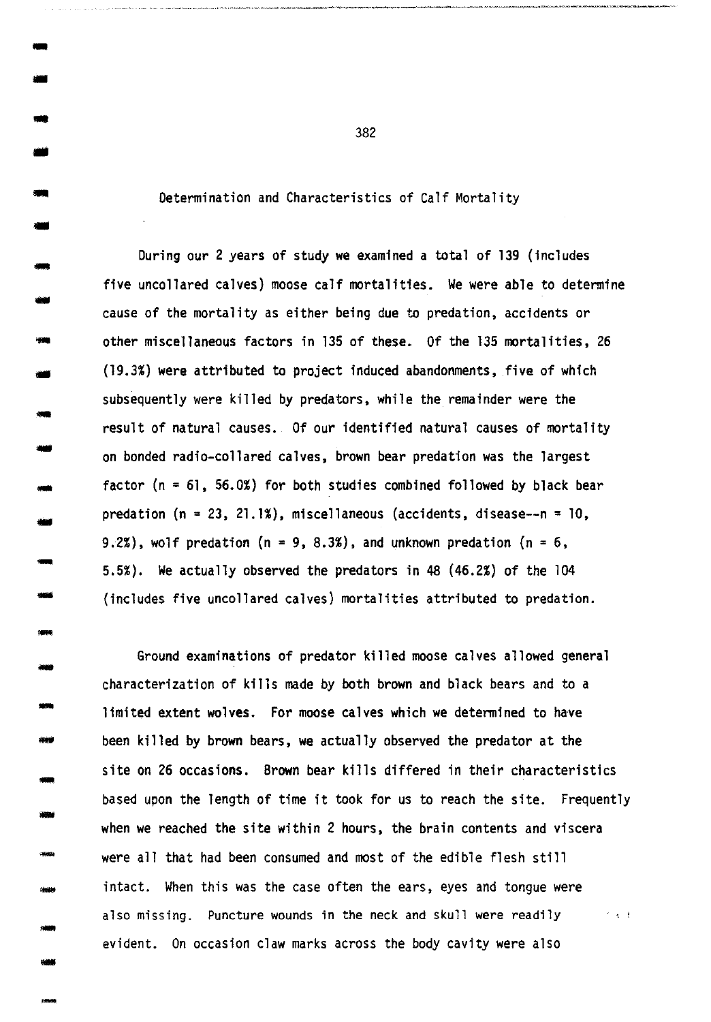Determination and Characteristics of Calf Mortality

- -<br>-<br>-<br>-

--<br>--<br>--

-

- --<br>--<br>--

---<br>---<br>-----

- -

-<br>-<br>--

- -

- -

-

- During our 2 years of study we examined a total of 139 (includes five uncollared calves) moose calf mortalities. We were able to determine - cause of the mortality as either being due to predation, accidents or<br>cause of the mortality as either being due to predation, accidents or other miscellaneous factors in 135 of these. Of the 135 mortalities, 26  $(19.3%)$  were attributed to project induced abandonments, five of which subsequently were killed by predators, while the remainder were the result of natural causes. Of our identified natural causes of mortality on bonded radio-collared calves, brown bear predation was the largest factor (n = 61, 56.0%) for both studies combined followed by black bear predation  $(n = 23, 21.1%)$ , miscellaneous (accidents, disease--n = 10, 9.2%), wolf predation (n = 9, 8.3%), and unknown predation (n = 6, 5.5%). We actually observed the predators in 48 (46.2%) of the 104 (includes five uncollared calves) mortalities attributed to predation.

Ground examinations of predator killed moose calves allowed general characterization of kills made by both brown and black bears and to a limited extent wolves. For moose calves which we determined to have been killed by brown bears, we actually observed the predator at the site on 26 occasions. Brown bear kills differed in their characteristics based upon the length of time it took for us to reach the site. Frequently when we reached the site within 2 hours, the brain contents and viscera were all that had been consumed and most of the edible flesh still intact. When this was the case often the ears, eyes and tongue were also missing. Puncture wounds in the neck and skull were readily  $\qquad \rightarrow \, \, \cdot$ - Fitted.. When this was the case often the ears, eyes and tongue we<br>also missing. Puncture wounds in the neck and skull were readily<br>evident. On occasion claw marks across the body cavity were also

 $\blacksquare$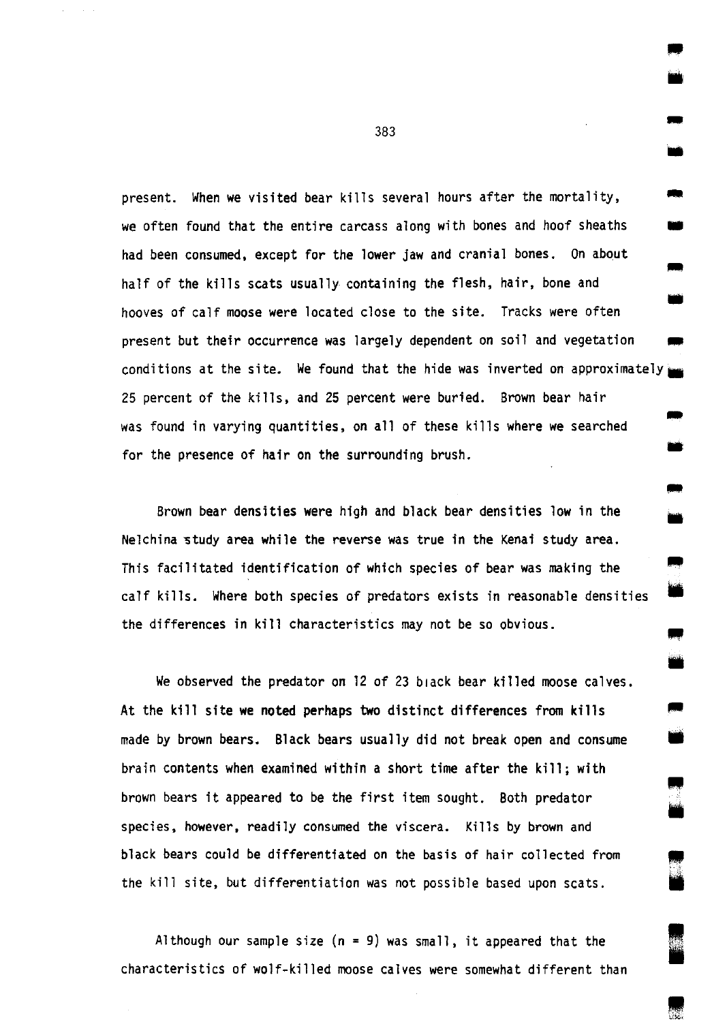present. When we visited bear kills several hours after the mortality, .. we often found that the entire carcass along with bones and hoof sheaths had been consumed, except for the lower jaw and cranial bones. On about half of the kills scats usually containing the flesh, hair, bone and hooves of calf moose were located close to the site. Tracks were often .. present but their occurrence was largely dependent on soil and vegetation conditions at the site. We found that the hide was inverted on approximately. 25 percent of the kills, and 25 percent were buried. Brown bear hair was found in varying quantities, on all of these kills where we searched for the presence of hair on the surrounding brush. .. iii

Brown bear densities were high and black bear densities low in the Nelchina study area while the reverse was true in the Kenai study area. This facilitated identification of which species of bear was making the calf kills. Where both species of predators exists in reasonable densities the differences in kill characteristics may not be so obvious.

We observed the predator on 12 of 23 black bear killed moose calves. At the kill site we noted perhaps two distinct differences from kills made by brown bears. Black bears usually did not break open and consume brain contents when examined within a short time after the kill; with brown bears it appeared to be the first item sought. Both predator species, however, readily consumed the viscera. Kills by brown and black bears could be differentiated on the basis of hair collected from the kill site, but differentiation was not possible based upon scats.

Although our sample size  $(n = 9)$  was small, it appeared that the characteristics of wolf-killed moose calves were somewhat different than

383

• • ..

•

•

" •

Ill •

I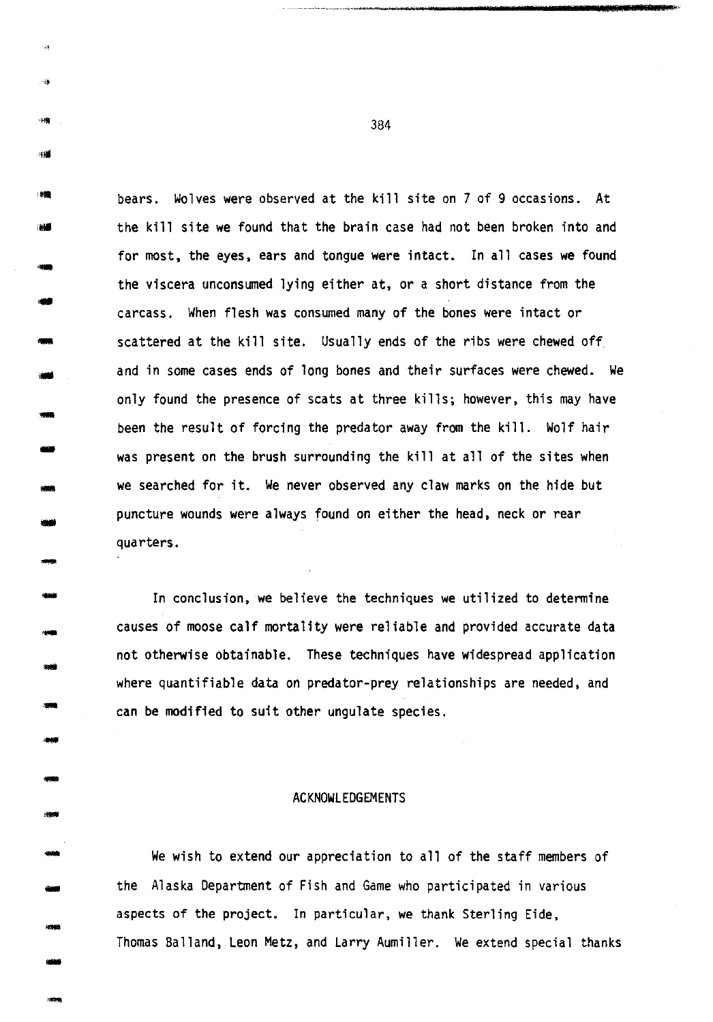<sup>###</sup> bears. Wolves were observed at the kill site on 7 of 9 occasions. At the kill site we found that the brain case had not been broken into and for most, the eyes, ears and tongue were intact. In all cases we found the viscera unconsumed lying either at, or a short distance from the carcass. When flesh was consumed many of the bones were intact or scattered at the kill site. Usually ends of the ribs were chewed off and in some cases ends of long bones and their surfaces were chewed. We only found the presence of scats at three kills; however, this may have been the result of forcing the predator away from the kill. Wolf hair was present on the brush surrounding the kill at all of the sites when we searched for it. We never observed any claw marks on the hide but puncture wounds were always found on either the head, neck or rear quarters.

-

4M

-

--<br>--<br>-----<br>--<br>--

- -

- -

-

-

-

- ---<br>---

.... -

-

In conclusion, we believe the techniques we utilized to determine causes of moose calf mortality were reliable and provided accurate data not otherwise obtainable. These techniques have widespread application where quantifiable data on predator-prey relationships are needed, and can be modified to suit other ungulate species.

#### ACKNOWLEDGEMENTS

We wish to extend our appreciation to all of the staff members of the Alaska Department of Fish and Game who participated in various aspects of the project. In particular, we thank Sterling Eide, Thomas Balland, Leon Metz, and Larry Aumiller. We extend special thanks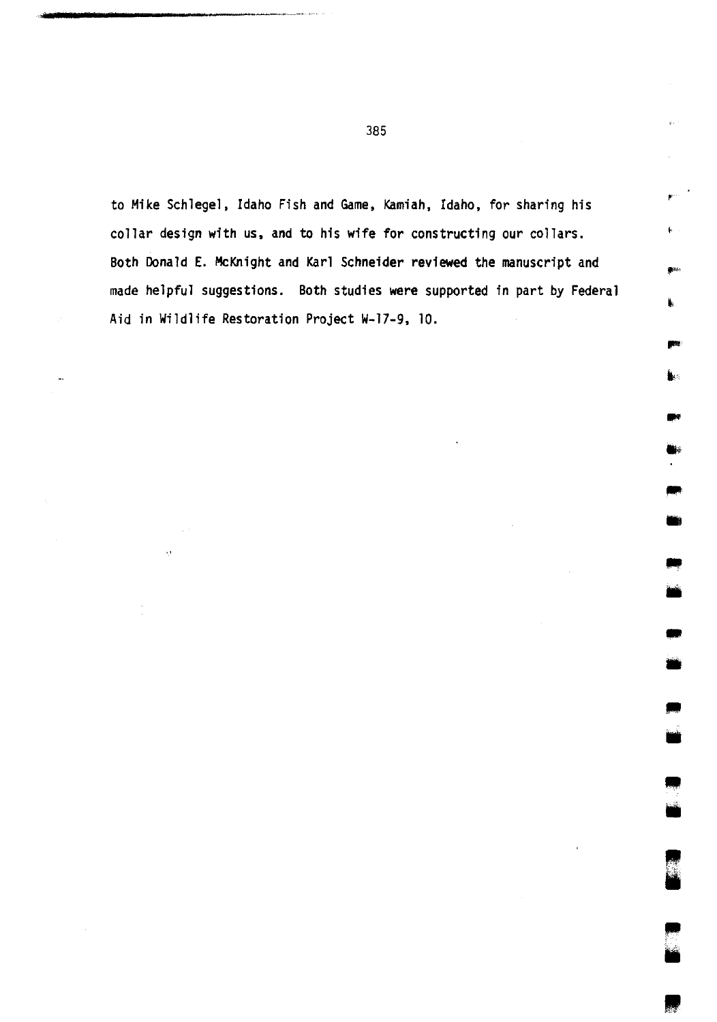to Mike Schlegel, Idaho Fish and Game, Kamiah, Idaho, for sharing his collar design with us, and to his wife for constructing our collars. Both Donald E. McKnight and Karl Schneider reviewed the manuscript and made helpful suggestions. Both studies were supported in part by Federal Aid in Wildlife Restoration Project W-17-9, 10.

> • •

• •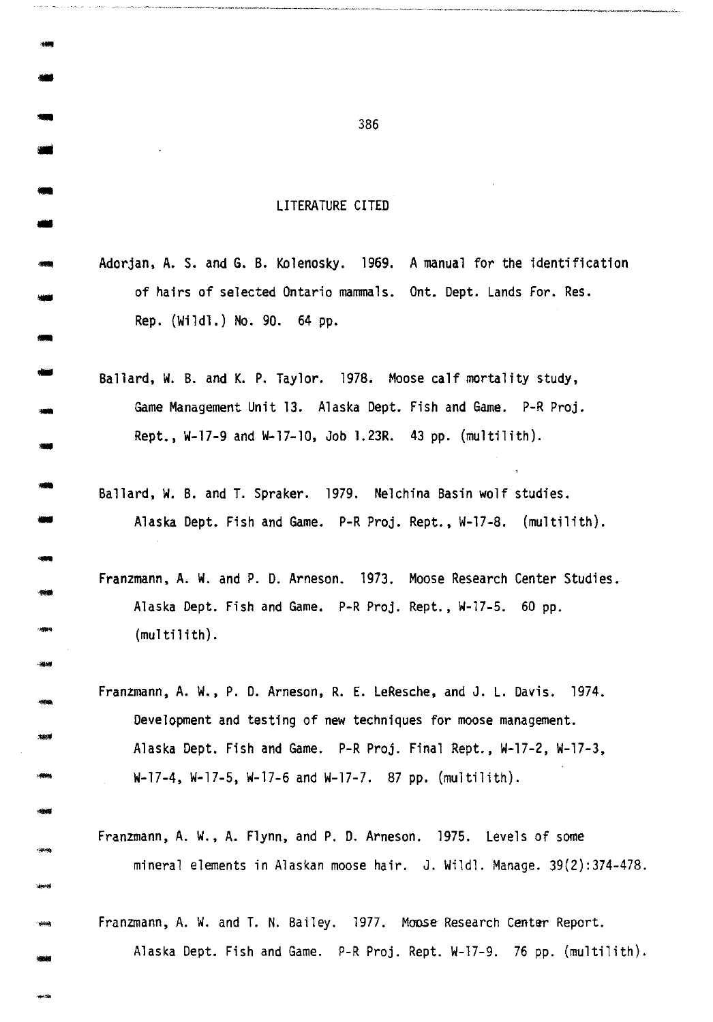# LITERATURE CITED

....

...

--<br>--<br>--

-<br>-<br>--

-

- -

- -

---<br>---<br>----

- -

- -

-Affrika<br>-Hannad

-1946<br>|<br>|**1950** 

- Adorjan, A. S. and G. B. Kolenosky. 1969. A manual for the identification of hairs of selected Ontario mammals. Ont. Dept. Lands For. Res. Rep. (Wildl.) No. 90. 64 pp.
- Ballard, W. B. and K. P. Taylor. 197B. Moose calf mortality study, Game Management Unit 13. Alaska Dept. Fish and Game. P-R Proj. Rept., W-17-9 and W-17-10, Job 1.23R. 43 pp. (multilith).
- Ballard, W. B. and T. Spraker. 197g. Nelchina Basin wolf studies. Alaska Dept. Fish and Game. P-R Proj. Rept., W-17-8. (multilith).
- Franzmann, A. W. and P. D. Arneson. 1973. Moose Research Center Studies. Alaska Dept. Fish and Game. P-R Proj. Rept., W-17-5. 60 pp.  $(multi$  $ith$ ).
- Franzmann, A. W., P. D. Arneson, R. E. LeResche, and J. L. Davis. 1974. Development and testing of new techniques for moose management. Alaska Dept. Fish and Game. P-R Proj. Final Rept., W-17-2, W-17-3, W-17-4, W-17-5, W-17-6 and W-17-7. 87 pp. (multilith).
- Franzmann, A. W., A. Flynn, and P. D. Arneson. 1975. Levels of some mineral elements in Alaskan moose hair. J. Wildl. Manage. 39(2):374-478.
- Franzmann, A. W. and T. N. Bailey. 1977. Moose Research Center Report. Alaska Dept. Fish and Game. P-R Proj. Rept. W-17-9. 76 pp. (multilith).

-... <sup>386</sup>